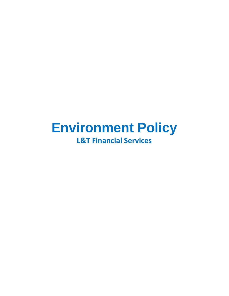# **Environment Policy L&T Financial Services**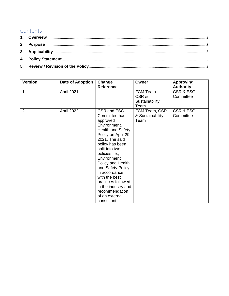# **Contents**

| <b>Version</b> | <b>Date of Adoption</b> | Change<br>Reference                                                                                                                                                                                                                                                                                                                                                             | Owner                                      | <b>Approving</b><br><b>Authority</b> |
|----------------|-------------------------|---------------------------------------------------------------------------------------------------------------------------------------------------------------------------------------------------------------------------------------------------------------------------------------------------------------------------------------------------------------------------------|--------------------------------------------|--------------------------------------|
| 1.             | April 2021              |                                                                                                                                                                                                                                                                                                                                                                                 | FCM Team<br>CSR&<br>Sustainability<br>Team | <b>CSR &amp; ESG</b><br>Committee    |
| 2.             | April 2022              | CSR and ESG<br>Committee had<br>approved<br>Environment,<br><b>Health and Safety</b><br>Policy on April 29,<br>2021. The said<br>policy has been<br>split into two<br>policies i.e.;<br>Environment<br>Policy and Health<br>and Safety Policy<br>in accordance<br>with the best<br>practices followed<br>in the industry and<br>recommendation<br>of an external<br>consultant. | FCM Team, CSR<br>& Sustainability<br>Team  | <b>CSR &amp; ESG</b><br>Committee    |